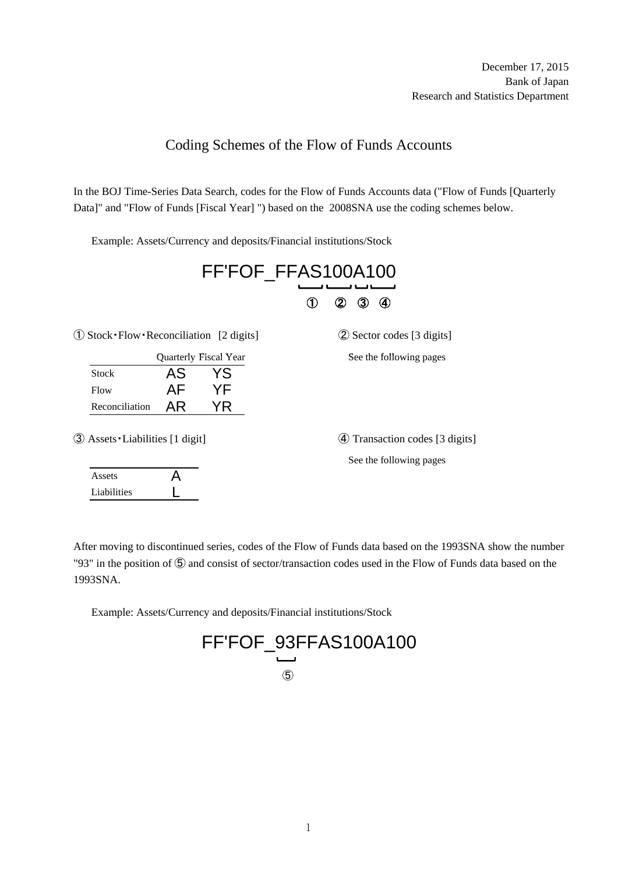## Coding Schemes of the Flow of Funds Accounts

In the BOJ Time-Series Data Search, codes for the Flow of Funds Accounts data ("Flow of Funds [Quarterly Data]" and "Flow of Funds [Fiscal Year] ") based on the 2008SNA use the coding schemes below.

Example: Assets/Currency and deposits/Financial institutions/Stock

|                                                  | FF'FOF_FFAS100A100 |                       |  |                                |  |  |
|--------------------------------------------------|--------------------|-----------------------|--|--------------------------------|--|--|
|                                                  |                    |                       |  | ③<br>2<br>$\bf(4)$             |  |  |
| $\odot$ Stock · Flow · Reconciliation [2 digits] |                    |                       |  | 2 Sector codes [3 digits]      |  |  |
|                                                  |                    | Quarterly Fiscal Year |  | See the following pages        |  |  |
| <b>Stock</b>                                     | AS                 | YS                    |  |                                |  |  |
| Flow                                             | AF.                | <b>YF</b>             |  |                                |  |  |
| Reconciliation                                   | AR.                | YR.                   |  |                                |  |  |
| 3 Assets Liabilities [1 digit]                   |                    |                       |  | 4 Transaction codes [3 digits] |  |  |
|                                                  |                    |                       |  | See the following pages        |  |  |
| Assets                                           | Д                  |                       |  |                                |  |  |
| Liabilities                                      |                    |                       |  |                                |  |  |

After moving to discontinued series, codes of the Flow of Funds data based on the 1993SNA show the number "93" in the position of ⑤ and consist of sector/transaction codes used in the Flow of Funds data based on the 1993SNA.

Example: Assets/Currency and deposits/Financial institutions/Stock

FF'FOF\_93FFAS100A100 ⑤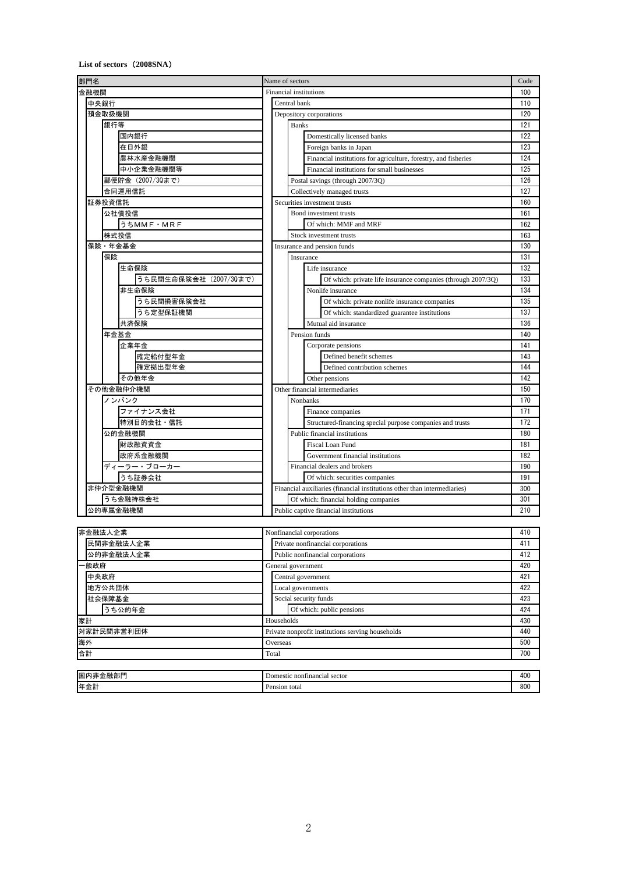## **List of sectors**(**2008SNA**)

| 部門名                    |       | Name of sectors                                   |                                                                          |            |
|------------------------|-------|---------------------------------------------------|--------------------------------------------------------------------------|------------|
| 金融機関                   |       | Financial institutions                            |                                                                          |            |
| 中央銀行                   |       | Central bank                                      |                                                                          |            |
| 預金取扱機関                 |       | Depository corporations                           |                                                                          | 120        |
| 銀行等                    |       | <b>Banks</b>                                      |                                                                          | 121        |
| 国内銀行                   |       |                                                   | Domestically licensed banks                                              | 122        |
| 在日外銀                   |       |                                                   | Foreign banks in Japan                                                   | 123        |
| 農林水産金融機関               |       |                                                   | Financial institutions for agriculture, forestry, and fisheries          | 124        |
| 中小企業金融機関等              |       |                                                   | Financial institutions for small businesses                              | 125        |
| 郵便貯金 (2007/30まで)       |       | Postal savings (through 2007/3Q)                  |                                                                          | 126        |
| 合同運用信託                 |       | Collectively managed trusts                       |                                                                          | 127        |
| 証券投資信託                 |       | Securities investment trusts                      |                                                                          | 160        |
| 公社債投信                  |       |                                                   | Bond investment trusts                                                   | 161        |
| うちMMF · MRF            |       |                                                   | Of which: MMF and MRF                                                    | 162        |
| 株式投信                   |       | Stock investment trusts                           |                                                                          | 163        |
| 保険・年金基金                |       | Insurance and pension funds                       |                                                                          | 130        |
| 保険                     |       | Insurance                                         |                                                                          | 131        |
| 生命保険                   |       |                                                   | Life insurance                                                           | 132        |
| うち民間生命保険会社 (2007/30まで) |       |                                                   | Of which: private life insurance companies (through 2007/3Q)             | 133        |
| 非生命保険                  |       |                                                   | Nonlife insurance                                                        | 134        |
| うち民間損害保険会社             |       |                                                   | Of which: private nonlife insurance companies                            | 135        |
| うち定型保証機関               |       |                                                   | Of which: standardized guarantee institutions                            | 137        |
| 共済保険                   |       |                                                   | Mutual aid insurance                                                     | 136        |
| 年金基金                   |       |                                                   | Pension funds                                                            | 140        |
| 企業年金                   |       |                                                   | Corporate pensions                                                       | 141        |
| 確定給付型年金                |       |                                                   | Defined benefit schemes                                                  | 143        |
| 確定拠出型年金                |       |                                                   | Defined contribution schemes                                             | 144        |
| その他年金                  |       |                                                   | Other pensions                                                           | 142        |
| その他金融仲介機関              |       |                                                   | Other financial intermediaries                                           | 150        |
| ノンバンク                  |       | Nonbanks                                          |                                                                          | 170        |
| ファイナンス会社               |       |                                                   | Finance companies                                                        | 171        |
| 特別目的会社・信託              |       |                                                   | Structured-financing special purpose companies and trusts                | 172        |
| 公的金融機関                 |       |                                                   | Public financial institutions                                            | 180        |
| 財政融資資金                 |       |                                                   | Fiscal Loan Fund                                                         | 181        |
| 政府系金融機関                |       |                                                   | Government financial institutions                                        | 182        |
| ディーラー・ブローカー            |       |                                                   | Financial dealers and brokers                                            | 190        |
| うち証券会社                 |       |                                                   | Of which: securities companies                                           | 191        |
| 非仲介型金融機関               |       |                                                   | Financial auxiliaries (financial institutions other than intermediaries) | 300        |
| うち金融持株会社               |       | Of which: financial holding companies             |                                                                          | 301<br>210 |
| 公的専属金融機関               |       | Public captive financial institutions             |                                                                          |            |
|                        |       |                                                   |                                                                          | 410        |
| 非金融法人企業                |       | Nonfinancial corporations                         |                                                                          |            |
| 民間非金融法人企業              |       | Private nonfinancial corporations                 |                                                                          |            |
| 公的非金融法人企業              |       | Public nonfinancial corporations                  |                                                                          |            |
| 般政府                    |       | General government                                |                                                                          |            |
| 中央政府                   |       | Central government                                |                                                                          |            |
| 地方公共団体                 |       | Local governments                                 |                                                                          |            |
| 社会保障基金                 |       | Social security funds                             |                                                                          | 423        |
| うち公的年金                 |       | Of which: public pensions<br>Households           |                                                                          | 424        |
| 家計                     |       |                                                   |                                                                          | 430<br>440 |
| 対家計民間非営利団体             |       | Private nonprofit institutions serving households |                                                                          |            |
| 海外                     |       | Overseas                                          |                                                                          |            |
| 合計                     | Total |                                                   |                                                                          | 700        |

| $- - -$<br>国内<br>$\overline{M}$ is the $\overline{M}$ | : nontinancial :<br><b>Jomestic</b><br>sector | 400 |
|-------------------------------------------------------|-----------------------------------------------|-----|
| 年金計                                                   | Pension total                                 | 800 |